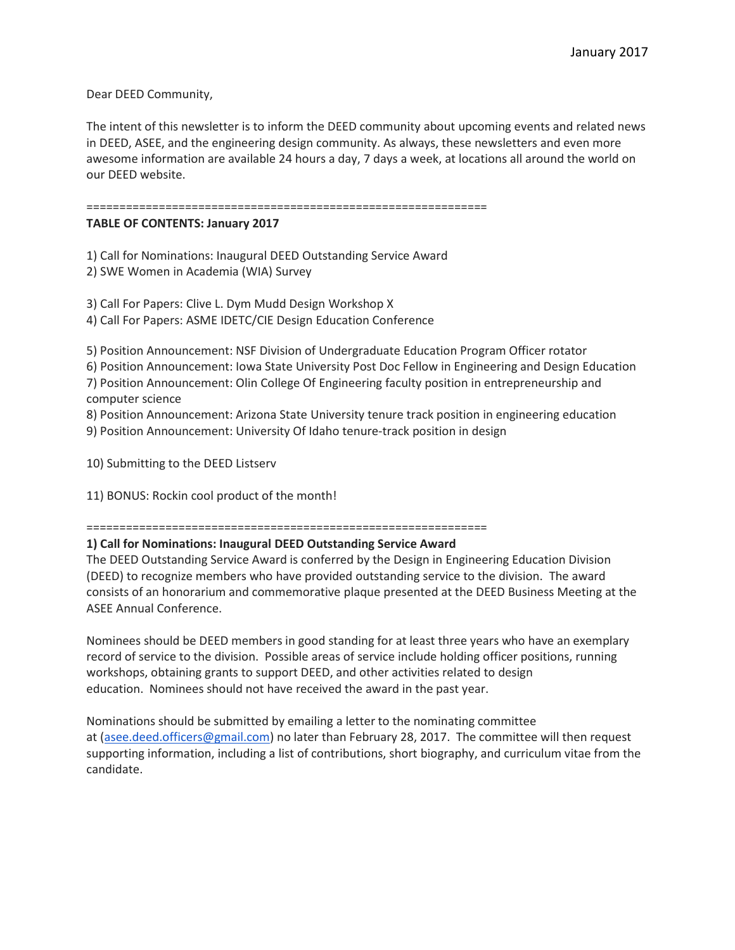Dear DEED Community,

The intent of this newsletter is to inform the DEED community about upcoming events and related news in DEED, ASEE, and the engineering design community. As always, these newsletters and even more awesome information are available 24 hours a day, 7 days a week, at locations all around the world on our DEED website.

=============================================================

# **TABLE OF CONTENTS: January 2017**

1) Call for Nominations: Inaugural DEED Outstanding Service Award

2) SWE Women in Academia (WIA) Survey

3) Call For Papers: Clive L. Dym Mudd Design Workshop X

4) Call For Papers: ASME IDETC/CIE Design Education Conference

5) Position Announcement: NSF Division of Undergraduate Education Program Officer rotator 6) Position Announcement: Iowa State University Post Doc Fellow in Engineering and Design Education 7) Position Announcement: Olin College Of Engineering faculty position in entrepreneurship and computer science

8) Position Announcement: Arizona State University tenure track position in engineering education

9) Position Announcement: University Of Idaho tenure-track position in design

10) Submitting to the DEED Listserv

11) BONUS: Rockin cool product of the month!

=============================================================

# **1) Call for Nominations: Inaugural DEED Outstanding Service Award**

The DEED Outstanding Service Award is conferred by the Design in Engineering Education Division (DEED) to recognize members who have provided outstanding service to the division. The award consists of an honorarium and commemorative plaque presented at the DEED Business Meeting at the ASEE Annual Conference.

Nominees should be DEED members in good standing for at least three years who have an exemplary record of service to the division. Possible areas of service include holding officer positions, running workshops, obtaining grants to support DEED, and other activities related to design education. Nominees should not have received the award in the past year.

Nominations should be submitted by emailing a letter to the nominating committee at [\(asee.deed.officers@gmail.com\)](mailto:asee.deed.officers@gmail.com) no later than February 28, 2017. The committee will then request supporting information, including a list of contributions, short biography, and curriculum vitae from the candidate.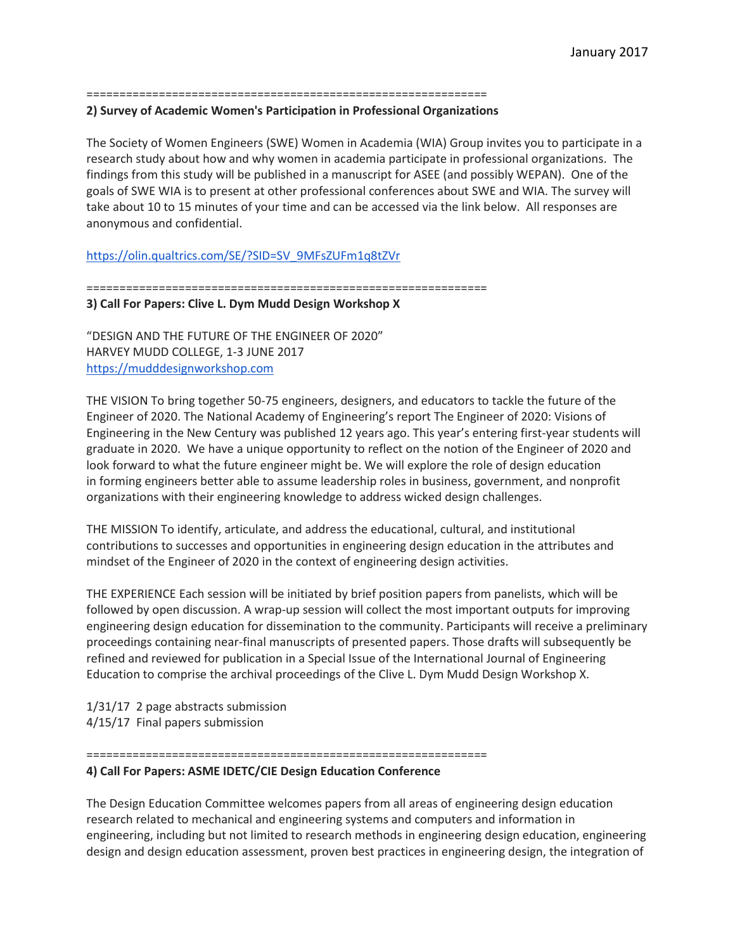### =============================================================

### **2) Survey of Academic Women's Participation in Professional Organizations**

The Society of Women Engineers (SWE) Women in Academia (WIA) Group invites you to participate in a research study about how and why women in academia participate in professional organizations. The findings from this study will be published in a manuscript for ASEE (and possibly WEPAN). One of the goals of SWE WIA is to present at other professional conferences about SWE and WIA. The survey will take about 10 to 15 minutes of your time and can be accessed via the link below. All responses are anonymous and confidential.

[https://olin.qualtrics.com/SE/?SID=SV\\_9MFsZUFm1q8tZVr](https://olin.qualtrics.com/SE/?SID=SV_9MFsZUFm1q8tZVr)

=============================================================

### **3) Call For Papers: Clive L. Dym Mudd Design Workshop X**

"DESIGN AND THE FUTURE OF THE ENGINEER OF 2020" HARVEY MUDD COLLEGE, 1-3 JUNE 2017 [https://mudddesignworkshop.com](https://mudddesignworkshop.com/)

THE VISION To bring together 50-75 engineers, designers, and educators to tackle the future of the Engineer of 2020. The National Academy of Engineering's report The Engineer of 2020: Visions of Engineering in the New Century was published 12 years ago. This year's entering first-year students will graduate in 2020. We have a unique opportunity to reflect on the notion of the Engineer of 2020 and look forward to what the future engineer might be. We will explore the role of design education in forming engineers better able to assume leadership roles in business, government, and nonprofit organizations with their engineering knowledge to address wicked design challenges.

THE MISSION To identify, articulate, and address the educational, cultural, and institutional contributions to successes and opportunities in engineering design education in the attributes and mindset of the Engineer of 2020 in the context of engineering design activities.

THE EXPERIENCE Each session will be initiated by brief position papers from panelists, which will be followed by open discussion. A wrap-up session will collect the most important outputs for improving engineering design education for dissemination to the community. Participants will receive a preliminary proceedings containing near-final manuscripts of presented papers. Those drafts will subsequently be refined and reviewed for publication in a Special Issue of the International Journal of Engineering Education to comprise the archival proceedings of the Clive L. Dym Mudd Design Workshop X.

1/31/17 2 page abstracts submission 4/15/17 Final papers submission

#### =============================================================

### **4) Call For Papers: ASME IDETC/CIE Design Education Conference**

The Design Education Committee welcomes papers from all areas of engineering design education research related to mechanical and engineering systems and computers and information in engineering, including but not limited to research methods in engineering design education, engineering design and design education assessment, proven best practices in engineering design, the integration of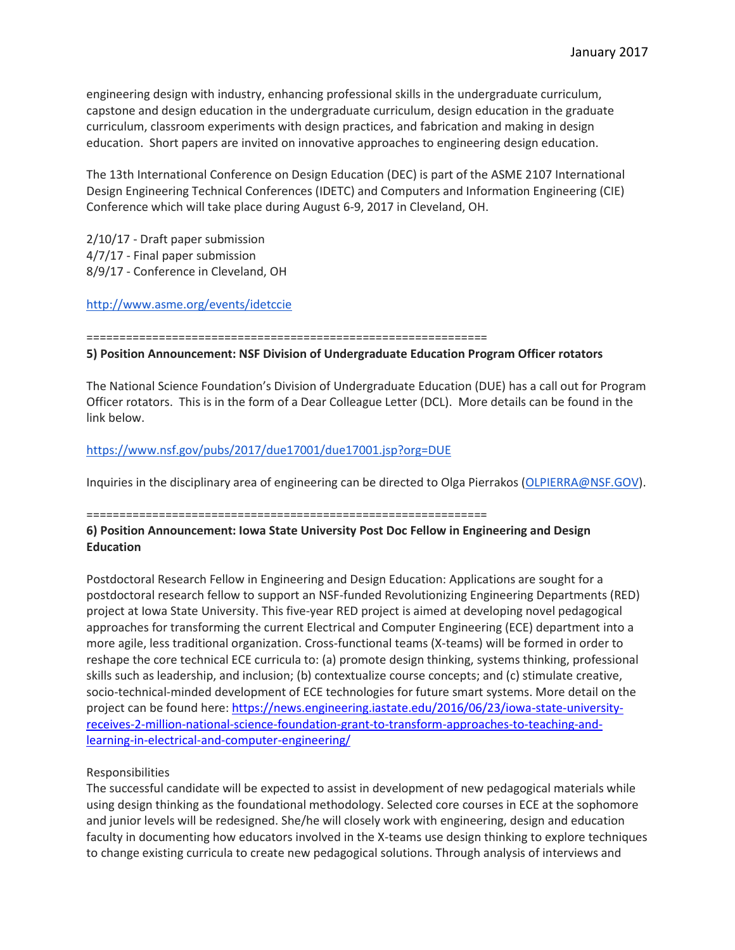engineering design with industry, enhancing professional skills in the undergraduate curriculum, capstone and design education in the undergraduate curriculum, design education in the graduate curriculum, classroom experiments with design practices, and fabrication and making in design education. Short papers are invited on innovative approaches to engineering design education.

The 13th International Conference on Design Education (DEC) is part of the ASME 2107 International Design Engineering Technical Conferences (IDETC) and Computers and Information Engineering (CIE) Conference which will take place during August 6-9, 2017 in Cleveland, OH.

2/10/17 - Draft paper submission 4/7/17 - Final paper submission 8/9/17 - Conference in Cleveland, OH

<http://www.asme.org/events/idetccie>

=============================================================

## **5) Position Announcement: NSF Division of Undergraduate Education Program Officer rotators**

The National Science Foundation's Division of Undergraduate Education (DUE) has a call out for Program Officer rotators. This is in the form of a Dear Colleague Letter (DCL). More details can be found in the link below.

# <https://www.nsf.gov/pubs/2017/due17001/due17001.jsp?org=DUE>

Inquiries in the disciplinary area of engineering can be directed to Olga Pierrakos [\(OLPIERRA@NSF.GOV\)](mailto:OLPIERRA@nsf.gov).

# =============================================================

## **6) Position Announcement: Iowa State University Post Doc Fellow in Engineering and Design Education**

Postdoctoral Research Fellow in Engineering and Design Education: Applications are sought for a postdoctoral research fellow to support an NSF-funded Revolutionizing Engineering Departments (RED) project at Iowa State University. This five-year RED project is aimed at developing novel pedagogical approaches for transforming the current Electrical and Computer Engineering (ECE) department into a more agile, less traditional organization. Cross-functional teams (X-teams) will be formed in order to reshape the core technical ECE curricula to: (a) promote design thinking, systems thinking, professional skills such as leadership, and inclusion; (b) contextualize course concepts; and (c) stimulate creative, socio-technical-minded development of ECE technologies for future smart systems. More detail on the project can be found here: [https://news.engineering.iastate.edu/2016/06/23/iowa-state-university](https://news.engineering.iastate.edu/2016/06/23/iowa-state-university-receives-2-million-national-science-foundation-grant-to-transform-approaches-to-teaching-and-learning-in-electrical-and-computer-engineering/)[receives-2-million-national-science-foundation-grant-to-transform-approaches-to-teaching-and](https://news.engineering.iastate.edu/2016/06/23/iowa-state-university-receives-2-million-national-science-foundation-grant-to-transform-approaches-to-teaching-and-learning-in-electrical-and-computer-engineering/)[learning-in-electrical-and-computer-engineering/](https://news.engineering.iastate.edu/2016/06/23/iowa-state-university-receives-2-million-national-science-foundation-grant-to-transform-approaches-to-teaching-and-learning-in-electrical-and-computer-engineering/)

# Responsibilities

The successful candidate will be expected to assist in development of new pedagogical materials while using design thinking as the foundational methodology. Selected core courses in ECE at the sophomore and junior levels will be redesigned. She/he will closely work with engineering, design and education faculty in documenting how educators involved in the X-teams use design thinking to explore techniques to change existing curricula to create new pedagogical solutions. Through analysis of interviews and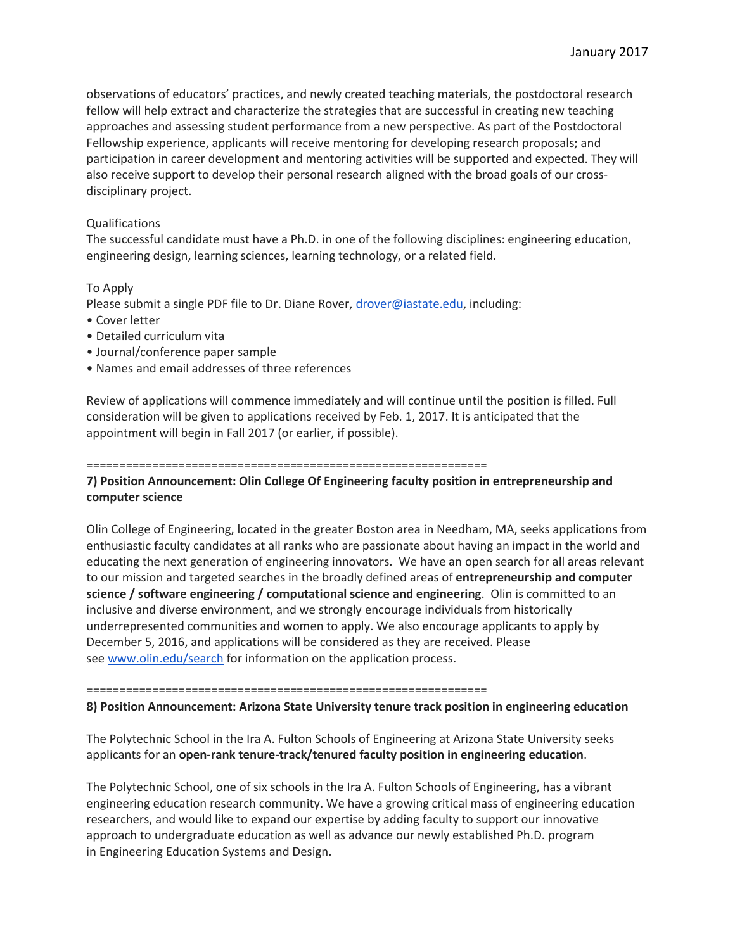observations of educators' practices, and newly created teaching materials, the postdoctoral research fellow will help extract and characterize the strategies that are successful in creating new teaching approaches and assessing student performance from a new perspective. As part of the Postdoctoral Fellowship experience, applicants will receive mentoring for developing research proposals; and participation in career development and mentoring activities will be supported and expected. They will also receive support to develop their personal research aligned with the broad goals of our crossdisciplinary project.

## Qualifications

The successful candidate must have a Ph.D. in one of the following disciplines: engineering education, engineering design, learning sciences, learning technology, or a related field.

## To Apply

Please submit a single PDF file to Dr. Diane Rover, [drover@iastate.edu,](mailto:drover@iastate.edu) including:

- Cover letter
- Detailed curriculum vita
- Journal/conference paper sample
- Names and email addresses of three references

Review of applications will commence immediately and will continue until the position is filled. Full consideration will be given to applications received by Feb. 1, 2017. It is anticipated that the appointment will begin in Fall 2017 (or earlier, if possible).

#### =============================================================

# **7) Position Announcement: Olin College Of Engineering faculty position in entrepreneurship and computer science**

Olin College of Engineering, located in the greater Boston area in Needham, MA, seeks applications from enthusiastic faculty candidates at all ranks who are passionate about having an impact in the world and educating the next generation of engineering innovators. We have an open search for all areas relevant to our mission and targeted searches in the broadly defined areas of **entrepreneurship and computer science / software engineering / computational science and engineering**. Olin is committed to an inclusive and diverse environment, and we strongly encourage individuals from historically underrepresented communities and women to apply. We also encourage applicants to apply by December 5, 2016, and applications will be considered as they are received. Please see [www.olin.edu/search](http://www.olin.edu/search) for information on the application process.

#### =============================================================

### **8) Position Announcement: Arizona State University tenure track position in engineering education**

The Polytechnic School in the Ira A. Fulton Schools of Engineering at Arizona State University seeks applicants for an **open-rank tenure-track/tenured faculty position in engineering education**.

The Polytechnic School, one of six schools in the Ira A. Fulton Schools of Engineering, has a vibrant engineering education research community. We have a growing critical mass of engineering education researchers, and would like to expand our expertise by adding faculty to support our innovative approach to undergraduate education as well as advance our newly established Ph.D. program in Engineering Education Systems and Design.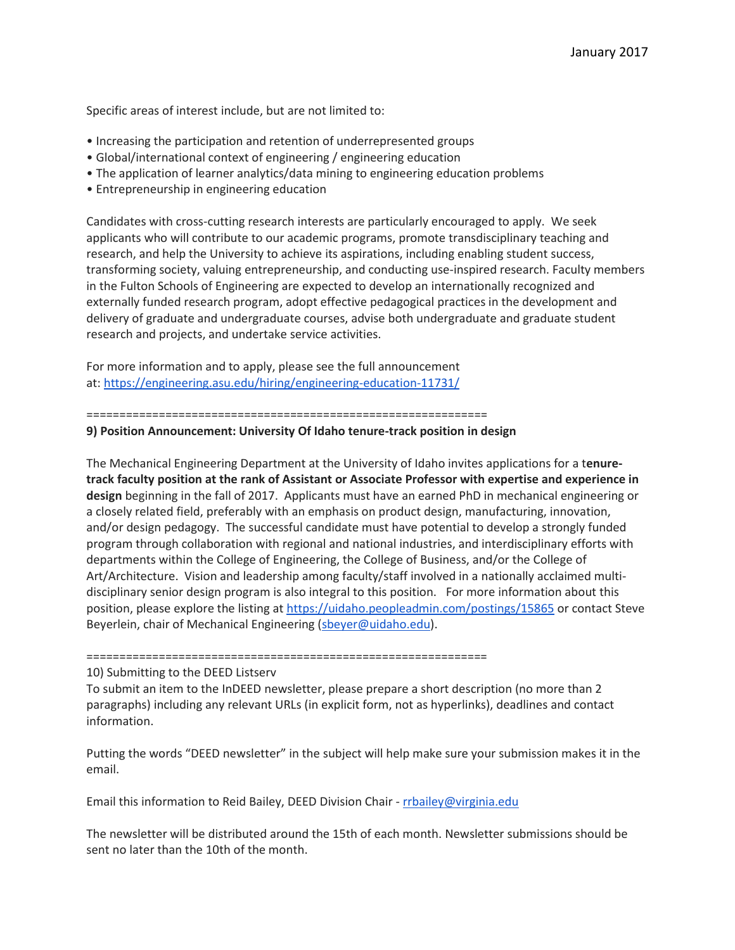Specific areas of interest include, but are not limited to:

- Increasing the participation and retention of underrepresented groups
- Global/international context of engineering / engineering education
- The application of learner analytics/data mining to engineering education problems
- Entrepreneurship in engineering education

Candidates with cross-cutting research interests are particularly encouraged to apply. We seek applicants who will contribute to our academic programs, promote transdisciplinary teaching and research, and help the University to achieve its aspirations, including enabling student success, transforming society, valuing entrepreneurship, and conducting use-inspired research. Faculty members in the Fulton Schools of Engineering are expected to develop an internationally recognized and externally funded research program, adopt effective pedagogical practices in the development and delivery of graduate and undergraduate courses, advise both undergraduate and graduate student research and projects, and undertake service activities.

For more information and to apply, please see the full announcement at: <https://engineering.asu.edu/hiring/engineering-education-11731/>

=============================================================

#### **9) Position Announcement: University Of Idaho tenure-track position in design**

The Mechanical Engineering Department at the University of Idaho invites applications for a t**enuretrack faculty position at the rank of Assistant or Associate Professor with expertise and experience in design** beginning in the fall of 2017. Applicants must have an earned PhD in mechanical engineering or a closely related field, preferably with an emphasis on product design, manufacturing, innovation, and/or design pedagogy. The successful candidate must have potential to develop a strongly funded program through collaboration with regional and national industries, and interdisciplinary efforts with departments within the College of Engineering, the College of Business, and/or the College of Art/Architecture. Vision and leadership among faculty/staff involved in a nationally acclaimed multidisciplinary senior design program is also integral to this position. For more information about this position, please explore the listing at <https://uidaho.peopleadmin.com/postings/15865> or contact Steve Beyerlein, chair of Mechanical Engineering [\(sbeyer@uidaho.edu\)](mailto:sbeyer@uidaho.edu).

=============================================================

10) Submitting to the DEED Listserv

To submit an item to the InDEED newsletter, please prepare a short description (no more than 2 paragraphs) including any relevant URLs (in explicit form, not as hyperlinks), deadlines and contact information.

Putting the words "DEED newsletter" in the subject will help make sure your submission makes it in the email.

Email this information to Reid Bailey, DEED Division Chair - [rrbailey@virginia.edu](mailto:rrbailey@virginia.edu)

The newsletter will be distributed around the 15th of each month. Newsletter submissions should be sent no later than the 10th of the month.